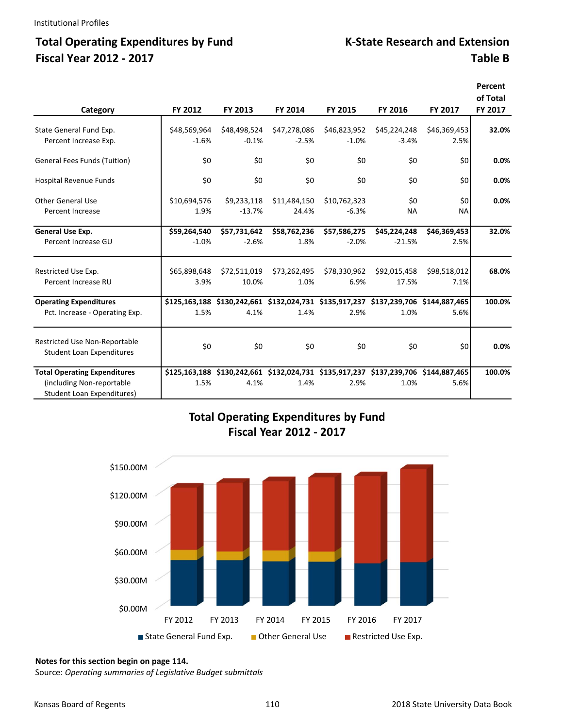### Total Operating Expenditures by Fund K-State Research and Extension **Fiscal Year 2012 ‐ 2017 Table B**

|                                     |              |              |              |              |              |                                                                                     | Percent  |
|-------------------------------------|--------------|--------------|--------------|--------------|--------------|-------------------------------------------------------------------------------------|----------|
|                                     |              |              |              |              |              |                                                                                     | of Total |
| Category                            | FY 2012      | FY 2013      | FY 2014      | FY 2015      | FY 2016      | FY 2017                                                                             | FY 2017  |
| State General Fund Exp.             | \$48,569,964 | \$48,498,524 | \$47,278,086 | \$46,823,952 | \$45,224,248 | \$46,369,453                                                                        | 32.0%    |
| Percent Increase Exp.               | $-1.6%$      | $-0.1%$      | $-2.5%$      | $-1.0%$      | $-3.4%$      | 2.5%                                                                                |          |
| <b>General Fees Funds (Tuition)</b> | \$0          | \$0          | \$0          | \$0          | \$0          | \$0                                                                                 | 0.0%     |
| Hospital Revenue Funds              | \$0          | \$0          | \$0          | \$0          | \$0          | \$0                                                                                 | 0.0%     |
| Other General Use                   | \$10,694,576 | \$9,233,118  | \$11,484,150 | \$10,762,323 | \$0          | \$0                                                                                 | 0.0%     |
| Percent Increase                    | 1.9%         | $-13.7%$     | 24.4%        | $-6.3%$      | <b>NA</b>    | <b>NA</b>                                                                           |          |
| General Use Exp.                    | \$59,264,540 | \$57,731,642 | \$58,762,236 | \$57,586,275 | \$45,224,248 | \$46,369,453                                                                        | 32.0%    |
| Percent Increase GU                 | $-1.0%$      | $-2.6%$      | 1.8%         | $-2.0%$      | $-21.5%$     | 2.5%                                                                                |          |
| Restricted Use Exp.                 | \$65,898,648 | \$72,511,019 | \$73,262,495 | \$78,330,962 | \$92,015,458 | \$98,518,012                                                                        | 68.0%    |
| Percent Increase RU                 | 3.9%         | 10.0%        | 1.0%         | 6.9%         | 17.5%        | 7.1%                                                                                |          |
| <b>Operating Expenditures</b>       |              |              |              |              |              | \$125,163,188 \$130,242,661 \$132,024,731 \$135,917,237 \$137,239,706 \$144,887,465 | 100.0%   |
| Pct. Increase - Operating Exp.      | 1.5%         | 4.1%         | 1.4%         | 2.9%         | 1.0%         | 5.6%                                                                                |          |
| Restricted Use Non-Reportable       |              |              |              |              |              |                                                                                     |          |
| <b>Student Loan Expenditures</b>    | \$0          | \$0          | \$0          | \$0          | \$0          | \$0                                                                                 | 0.0%     |
| <b>Total Operating Expenditures</b> |              |              |              |              |              | \$125,163,188 \$130,242,661 \$132,024,731 \$135,917,237 \$137,239,706 \$144,887,465 | 100.0%   |
| (including Non-reportable)          | 1.5%         | 4.1%         | 1.4%         | 2.9%         | 1.0%         | 5.6%                                                                                |          |
| <b>Student Loan Expenditures)</b>   |              |              |              |              |              |                                                                                     |          |

### **Total Operating Expenditures by Fund Fiscal Year 2012 ‐ 2017**



#### **Notes for this section begin on page 114.**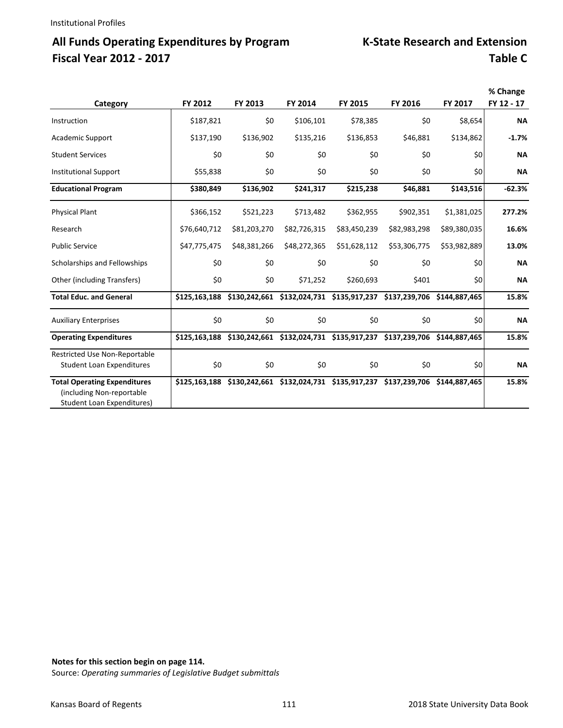## All Funds Operating Expenditures by Program K-State Research and Extension **Fiscal Year 2012 ‐ 2017 Table C**

| Category                                                                                               | FY 2012       | FY 2013      | FY 2014      | FY 2015                                                                             | FY 2016      | FY 2017      | % Change<br>FY 12 - 17 |
|--------------------------------------------------------------------------------------------------------|---------------|--------------|--------------|-------------------------------------------------------------------------------------|--------------|--------------|------------------------|
| Instruction                                                                                            | \$187,821     | \$0          | \$106,101    | \$78,385                                                                            | \$0          | \$8,654      | <b>NA</b>              |
| <b>Academic Support</b>                                                                                | \$137,190     | \$136,902    | \$135,216    | \$136,853                                                                           | \$46,881     | \$134,862    | $-1.7%$                |
| <b>Student Services</b>                                                                                | \$0           | \$0          | \$0          | \$0                                                                                 | \$0          | \$0          | <b>NA</b>              |
| <b>Institutional Support</b>                                                                           | \$55,838      | \$0          | \$0          | \$0                                                                                 | \$0          | \$0          | <b>NA</b>              |
| <b>Educational Program</b>                                                                             | \$380,849     | \$136,902    | \$241,317    | \$215,238                                                                           | \$46,881     | \$143,516    | $-62.3%$               |
| <b>Physical Plant</b>                                                                                  | \$366,152     | \$521,223    | \$713,482    | \$362,955                                                                           | \$902,351    | \$1,381,025  | 277.2%                 |
| Research                                                                                               | \$76,640,712  | \$81,203,270 | \$82,726,315 | \$83,450,239                                                                        | \$82,983,298 | \$89,380,035 | 16.6%                  |
| <b>Public Service</b>                                                                                  | \$47,775,475  | \$48,381,266 | \$48,272,365 | \$51,628,112                                                                        | \$53,306,775 | \$53,982,889 | 13.0%                  |
| Scholarships and Fellowships                                                                           | \$0           | \$0          | \$0          | \$0                                                                                 | \$0          | \$0          | <b>NA</b>              |
| Other (including Transfers)                                                                            | \$0           | \$0          | \$71,252     | \$260,693                                                                           | \$401        | \$0          | <b>NA</b>              |
| <b>Total Educ. and General</b>                                                                         | \$125,163,188 |              |              | \$130,242,661 \$132,024,731 \$135,917,237 \$137,239,706 \$144,887,465               |              |              | 15.8%                  |
| <b>Auxiliary Enterprises</b>                                                                           | \$0           | \$0          | \$0          | \$0                                                                                 | \$0          | \$0          | <b>NA</b>              |
| <b>Operating Expenditures</b>                                                                          |               |              |              | \$125,163,188 \$130,242,661 \$132,024,731 \$135,917,237 \$137,239,706 \$144,887,465 |              |              | 15.8%                  |
| Restricted Use Non-Reportable<br><b>Student Loan Expenditures</b>                                      | \$0           | \$0          | \$0          | \$0                                                                                 | \$0          | \$0          | <b>NA</b>              |
| <b>Total Operating Expenditures</b><br>(including Non-reportable)<br><b>Student Loan Expenditures)</b> | \$125,163,188 |              |              | \$130,242,661 \$132,024,731 \$135,917,237 \$137,239,706 \$144,887,465               |              |              | 15.8%                  |

**Notes for this section begin on page 114.**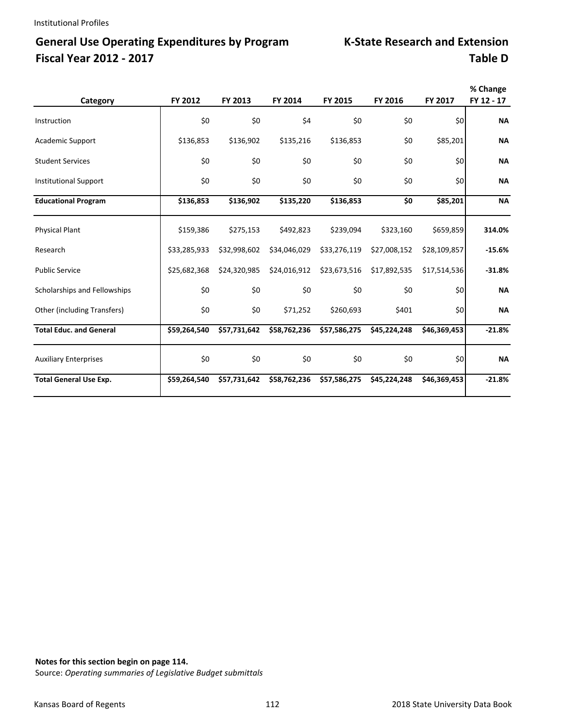# **General Use Operating Expenditures by Program Fiscal Year 2012 - 2017**

|  | <b>K-State Research and Extension</b> |
|--|---------------------------------------|
|  | <b>Table D</b>                        |

| Category                       | FY 2012      | FY 2013      | FY 2014      | FY 2015      | FY 2016      | FY 2017      | % Change<br>FY 12 - 17 |
|--------------------------------|--------------|--------------|--------------|--------------|--------------|--------------|------------------------|
|                                |              |              |              |              |              |              |                        |
| Instruction                    | \$0          | \$0          | \$4          | \$0          | \$0          | \$0          | <b>NA</b>              |
| <b>Academic Support</b>        | \$136,853    | \$136,902    | \$135,216    | \$136,853    | \$0          | \$85,201     | <b>NA</b>              |
| <b>Student Services</b>        | \$0          | \$0          | \$0          | \$0          | \$0          | \$0          | <b>NA</b>              |
| <b>Institutional Support</b>   | \$0          | \$0          | \$0          | \$0          | \$0          | \$0          | <b>NA</b>              |
| <b>Educational Program</b>     | \$136,853    | \$136,902    | \$135,220    | \$136,853    | \$0          | \$85,201     | <b>NA</b>              |
| <b>Physical Plant</b>          | \$159,386    | \$275,153    | \$492,823    | \$239,094    | \$323,160    | \$659,859    | 314.0%                 |
| Research                       | \$33,285,933 | \$32,998,602 | \$34,046,029 | \$33,276,119 | \$27,008,152 | \$28,109,857 | $-15.6%$               |
| <b>Public Service</b>          | \$25,682,368 | \$24,320,985 | \$24,016,912 | \$23,673,516 | \$17,892,535 | \$17,514,536 | $-31.8%$               |
| Scholarships and Fellowships   | \$0          | \$0          | \$0          | \$0          | \$0          | \$0          | <b>NA</b>              |
| Other (including Transfers)    | \$0          | \$0          | \$71,252     | \$260,693    | \$401        | \$0          | <b>NA</b>              |
| <b>Total Educ. and General</b> | \$59,264,540 | \$57,731,642 | \$58,762,236 | \$57,586,275 | \$45,224,248 | \$46,369,453 | $-21.8%$               |
| <b>Auxiliary Enterprises</b>   | \$0          | \$0          | \$0          | \$0          | \$0          | \$0          | <b>NA</b>              |
| <b>Total General Use Exp.</b>  | \$59,264,540 | \$57,731,642 | \$58,762,236 | \$57,586,275 | \$45,224,248 | \$46,369,453 | $-21.8%$               |

**Notes for this section begin on page 114.**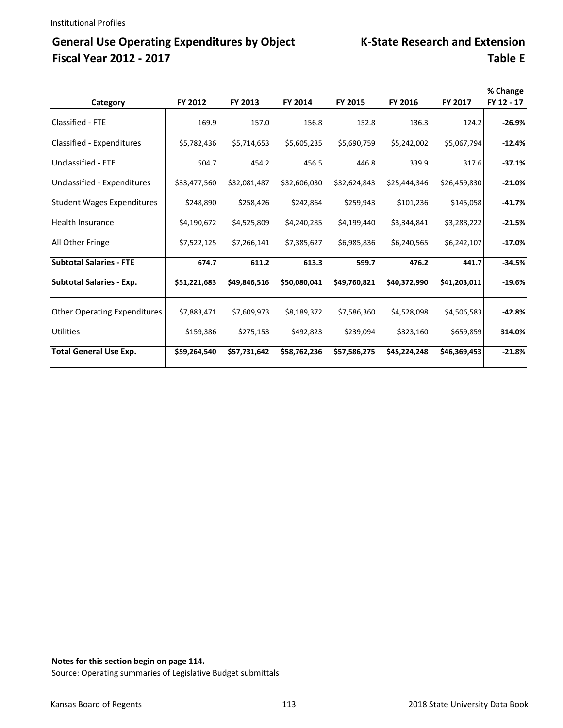## General Use Operating Expenditures by Object K-State Research and Extension **Fiscal Year 2012 ‐ 2017 Table E**

| Category                            | FY 2012      | FY 2013      | FY 2014      | FY 2015      | FY 2016      | FY 2017      | % Change<br>FY 12 - 17 |
|-------------------------------------|--------------|--------------|--------------|--------------|--------------|--------------|------------------------|
| Classified - FTE                    | 169.9        | 157.0        | 156.8        | 152.8        | 136.3        | 124.2        | $-26.9%$               |
| Classified - Expenditures           | \$5,782,436  | \$5,714,653  | \$5,605,235  | \$5,690,759  | \$5,242,002  | \$5,067,794  | $-12.4%$               |
| Unclassified - FTE                  | 504.7        | 454.2        | 456.5        | 446.8        | 339.9        | 317.6        | $-37.1%$               |
| Unclassified - Expenditures         | \$33,477,560 | \$32,081,487 | \$32,606,030 | \$32,624,843 | \$25,444,346 | \$26,459,830 | $-21.0%$               |
| <b>Student Wages Expenditures</b>   | \$248,890    | \$258,426    | \$242,864    | \$259,943    | \$101,236    | \$145,058    | $-41.7%$               |
| Health Insurance                    | \$4,190,672  | \$4,525,809  | \$4,240,285  | \$4,199,440  | \$3,344,841  | \$3,288,222  | $-21.5%$               |
| All Other Fringe                    | \$7,522,125  | \$7,266,141  | \$7,385,627  | \$6,985,836  | \$6,240,565  | \$6,242,107  | $-17.0%$               |
| <b>Subtotal Salaries - FTE</b>      | 674.7        | 611.2        | 613.3        | 599.7        | 476.2        | 441.7        | $-34.5%$               |
| <b>Subtotal Salaries - Exp.</b>     | \$51,221,683 | \$49,846,516 | \$50,080,041 | \$49,760,821 | \$40,372,990 | \$41,203,011 | $-19.6%$               |
| <b>Other Operating Expenditures</b> | \$7,883,471  | \$7,609,973  | \$8,189,372  | \$7,586,360  | \$4,528,098  | \$4,506,583  | $-42.8%$               |
| <b>Utilities</b>                    | \$159,386    | \$275,153    | \$492,823    | \$239,094    | \$323,160    | \$659,859    | 314.0%                 |
| <b>Total General Use Exp.</b>       | \$59,264,540 | \$57,731,642 | \$58,762,236 | \$57,586,275 | \$45,224,248 | \$46,369,453 | $-21.8%$               |

**Notes for this section begin on page 114.**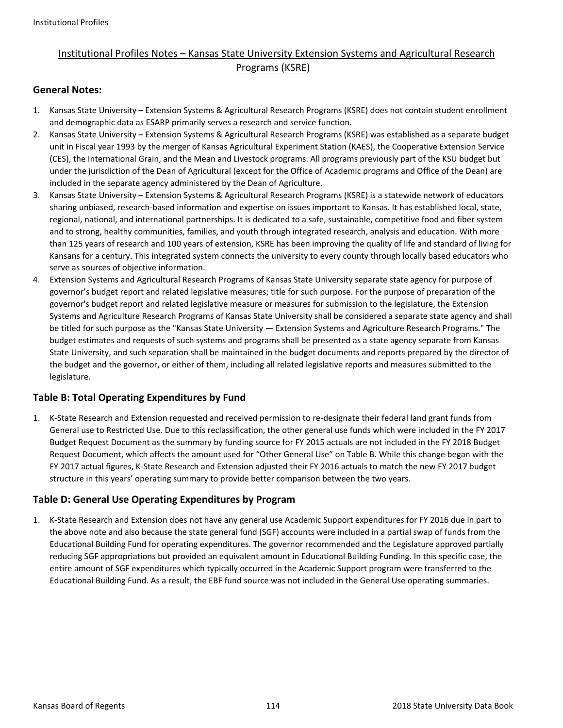### Institutional Profiles Notes – Kansas State University Extension Systems and Agricultural Research Programs (KSRE)

#### **General Notes:**

- 1. Kansas State University Extension Systems & Agricultural Research Programs (KSRE) does not contain student enrollment and demographic data as ESARP primarily serves a research and service function.
- 2. Kansas State University Extension Systems & Agricultural Research Programs (KSRE) was established as a separate budget unit in Fiscal year 1993 by the merger of Kansas Agricultural Experiment Station (KAES), the Cooperative Extension Service (CES), the International Grain, and the Mean and Livestock programs. All programs previously part of the KSU budget but under the jurisdiction of the Dean of Agricultural (except for the Office of Academic programs and Office of the Dean) are included in the separate agency administered by the Dean of Agriculture.
- 3. Kansas State University Extension Systems & Agricultural Research Programs (KSRE) is a statewide network of educators sharing unbiased, research‐based information and expertise on issues important to Kansas. It has established local, state, regional, national, and international partnerships. It is dedicated to a safe, sustainable, competitive food and fiber system and to strong, healthy communities, families, and youth through integrated research, analysis and education. With more than 125 years of research and 100 years of extension, KSRE has been improving the quality of life and standard of living for Kansans for a century. This integrated system connects the university to every county through locally based educators who serve as sources of objective information.
- 4. Extension Systems and Agricultural Research Programs of Kansas State University separate state agency for purpose of governor's budget report and related legislative measures; title for such purpose. For the purpose of preparation of the governor's budget report and related legislative measure or measures for submission to the legislature, the Extension Systems and Agriculture Research Programs of Kansas State University shall be considered a separate state agency and shall be titled for such purpose as the "Kansas State University — Extension Systems and Agriculture Research Programs." The budget estimates and requests of such systems and programs shall be presented as a state agency separate from Kansas State University, and such separation shall be maintained in the budget documents and reports prepared by the director of the budget and the governor, or either of them, including all related legislative reports and measures submitted to the legislature.

#### **Table B: Total Operating Expenditures by Fund**

1. K‐State Research and Extension requested and received permission to re‐designate their federal land grant funds from General use to Restricted Use. Due to this reclassification, the other general use funds which were included in the FY 2017 Budget Request Document as the summary by funding source for FY 2015 actuals are not included in the FY 2018 Budget Request Document, which affects the amount used for "Other General Use" on Table B. While this change began with the FY 2017 actual figures, K‐State Research and Extension adjusted their FY 2016 actuals to match the new FY 2017 budget structure in this years' operating summary to provide better comparison between the two years.

#### **Table D: General Use Operating Expenditures by Program**

1. K‐State Research and Extension does not have any general use Academic Support expenditures for FY 2016 due in part to the above note and also because the state general fund (SGF) accounts were included in a partial swap of funds from the Educational Building Fund for operating expenditures. The governor recommended and the Legislature approved partially reducing SGF appropriations but provided an equivalent amount in Educational Building Funding. In this specific case, the entire amount of SGF expenditures which typically occurred in the Academic Support program were transferred to the Educational Building Fund. As a result, the EBF fund source was not included in the General Use operating summaries.